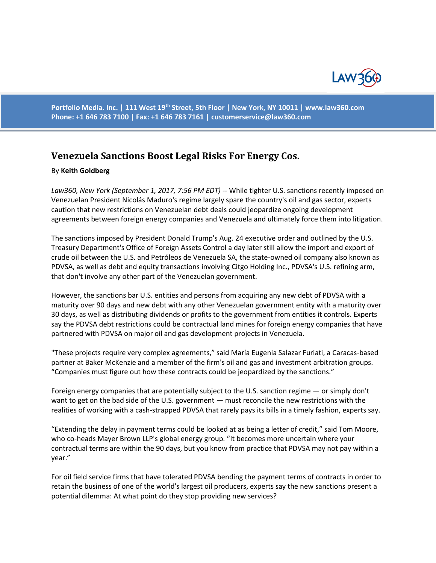

**Portfolio Media. Inc. | 111 West 19th Street, 5th Floor | New York, NY 10011 | www.law360.com Phone: +1 646 783 7100 | Fax: +1 646 783 7161 | [customerservice@law360.com](mailto:customerservice@law360.com)**

## **Venezuela Sanctions Boost Legal Risks For Energy Cos.**

## By **Keith Goldberg**

*Law360, New York (September 1, 2017, 7:56 PM EDT) --* While tighter U.S. sanctions recently imposed on Venezuelan President Nicolás Maduro's regime largely spare the country's oil and gas sector, experts caution that new restrictions on Venezuelan debt deals could jeopardize ongoing development agreements between foreign energy companies and Venezuela and ultimately force them into litigation.

The sanctions imposed by President Donald Trump's Aug. 24 executive order and outlined by the U.S. Treasury Department's Office of Foreign Assets Control a day later still allow the import and export of crude oil between the U.S. and Petróleos de Venezuela SA, the state-owned oil company also known as PDVSA, as well as debt and equity transactions involving Citgo Holding Inc., PDVSA's U.S. refining arm, that don't involve any other part of the Venezuelan government.

However, the sanctions bar U.S. entities and persons from acquiring any new debt of PDVSA with a maturity over 90 days and new debt with any other Venezuelan government entity with a maturity over 30 days, as well as distributing dividends or profits to the government from entities it controls. Experts say the PDVSA debt restrictions could be contractual land mines for foreign energy companies that have partnered with PDVSA on major oil and gas development projects in Venezuela.

"These projects require very complex agreements," said María Eugenia Salazar Furiati, a Caracas-based partner at Baker McKenzie and a member of the firm's oil and gas and investment arbitration groups. "Companies must figure out how these contracts could be jeopardized by the sanctions."

Foreign energy companies that are potentially subject to the U.S. sanction regime — or simply don't want to get on the bad side of the U.S. government — must reconcile the new restrictions with the realities of working with a cash-strapped PDVSA that rarely pays its bills in a timely fashion, experts say.

"Extending the delay in payment terms could be looked at as being a letter of credit," said Tom Moore, who co-heads Mayer Brown LLP's global energy group. "It becomes more uncertain where your contractual terms are within the 90 days, but you know from practice that PDVSA may not pay within a year."

For oil field service firms that have tolerated PDVSA bending the payment terms of contracts in order to retain the business of one of the world's largest oil producers, experts say the new sanctions present a potential dilemma: At what point do they stop providing new services?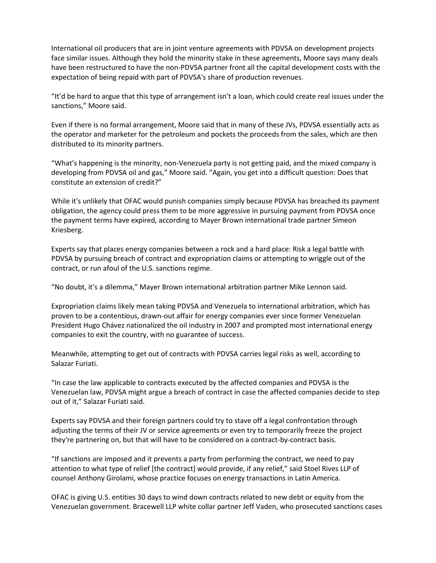International oil producers that are in joint venture agreements with PDVSA on development projects face similar issues. Although they hold the minority stake in these agreements, Moore says many deals have been restructured to have the non-PDVSA partner front all the capital development costs with the expectation of being repaid with part of PDVSA's share of production revenues.

"It'd be hard to argue that this type of arrangement isn't a loan, which could create real issues under the sanctions," Moore said.

Even if there is no formal arrangement, Moore said that in many of these JVs, PDVSA essentially acts as the operator and marketer for the petroleum and pockets the proceeds from the sales, which are then distributed to its minority partners.

"What's happening is the minority, non-Venezuela party is not getting paid, and the mixed company is developing from PDVSA oil and gas," Moore said. "Again, you get into a difficult question: Does that constitute an extension of credit?"

While it's unlikely that OFAC would punish companies simply because PDVSA has breached its payment obligation, the agency could press them to be more aggressive in pursuing payment from PDVSA once the payment terms have expired, according to Mayer Brown international trade partner Simeon Kriesberg.

Experts say that places energy companies between a rock and a hard place: Risk a legal battle with PDVSA by pursuing breach of contract and expropriation claims or attempting to wriggle out of the contract, or run afoul of the U.S. sanctions regime.

"No doubt, it's a dilemma," Mayer Brown international arbitration partner Mike Lennon said.

Expropriation claims likely mean taking PDVSA and Venezuela to international arbitration, which has proven to be a contentious, drawn-out affair for energy companies ever since former Venezuelan President Hugo Chávez nationalized the oil industry in 2007 and prompted most international energy companies to exit the country, with no guarantee of success.

Meanwhile, attempting to get out of contracts with PDVSA carries legal risks as well, according to Salazar Furiati.

"In case the law applicable to contracts executed by the affected companies and PDVSA is the Venezuelan law, PDVSA might argue a breach of contract in case the affected companies decide to step out of it," Salazar Furiati said.

Experts say PDVSA and their foreign partners could try to stave off a legal confrontation through adjusting the terms of their JV or service agreements or even try to temporarily freeze the project they're partnering on, but that will have to be considered on a contract-by-contract basis.

"If sanctions are imposed and it prevents a party from performing the contract, we need to pay attention to what type of relief [the contract] would provide, if any relief," said Stoel Rives LLP of counsel Anthony Girolami, whose practice focuses on energy transactions in Latin America.

OFAC is giving U.S. entities 30 days to wind down contracts related to new debt or equity from the Venezuelan government. Bracewell LLP white collar partner Jeff Vaden, who prosecuted sanctions cases